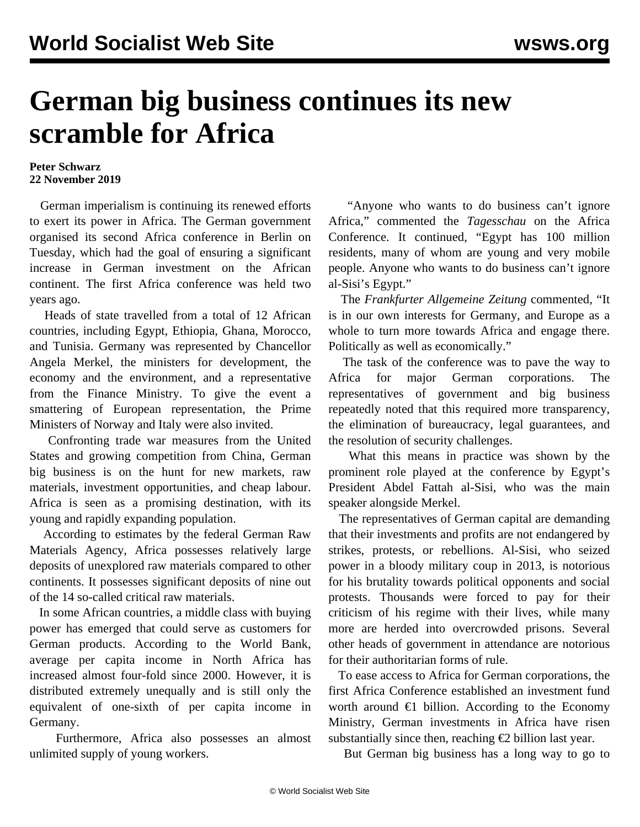## **German big business continues its new scramble for Africa**

## **Peter Schwarz 22 November 2019**

 German imperialism is continuing its renewed efforts to exert its power in Africa. The German government organised its second Africa conference in Berlin on Tuesday, which had the goal of ensuring a significant increase in German investment on the African continent. The first Africa conference was held two years ago.

 Heads of state travelled from a total of 12 African countries, including Egypt, Ethiopia, Ghana, Morocco, and Tunisia. Germany was represented by Chancellor Angela Merkel, the ministers for development, the economy and the environment, and a representative from the Finance Ministry. To give the event a smattering of European representation, the Prime Ministers of Norway and Italy were also invited.

 Confronting trade war measures from the United States and growing competition from China, German big business is on the hunt for new markets, raw materials, investment opportunities, and cheap labour. Africa is seen as a promising destination, with its young and rapidly expanding population.

 According to estimates by the federal German Raw Materials Agency, Africa possesses relatively large deposits of unexplored raw materials compared to other continents. It possesses significant deposits of nine out of the 14 so-called critical raw materials.

 In some African countries, a middle class with buying power has emerged that could serve as customers for German products. According to the World Bank, average per capita income in North Africa has increased almost four-fold since 2000. However, it is distributed extremely unequally and is still only the equivalent of one-sixth of per capita income in Germany.

 Furthermore, Africa also possesses an almost unlimited supply of young workers.

 "Anyone who wants to do business can't ignore Africa," commented the *Tagesschau* on the Africa Conference. It continued, "Egypt has 100 million residents, many of whom are young and very mobile people. Anyone who wants to do business can't ignore al-Sisi's Egypt."

 The *Frankfurter Allgemeine Zeitung* commented, "It is in our own interests for Germany, and Europe as a whole to turn more towards Africa and engage there. Politically as well as economically."

 The task of the conference was to pave the way to Africa for major German corporations. The representatives of government and big business repeatedly noted that this required more transparency, the elimination of bureaucracy, legal guarantees, and the resolution of security challenges.

 What this means in practice was shown by the prominent role played at the conference by Egypt's President Abdel Fattah al-Sisi, who was the main speaker alongside Merkel.

 The representatives of German capital are demanding that their investments and profits are not endangered by strikes, protests, or rebellions. Al-Sisi, who seized power in a bloody military coup in 2013, is notorious for his brutality towards political opponents and social protests. Thousands were forced to pay for their criticism of his regime with their lives, while many more are herded into overcrowded prisons. Several other heads of government in attendance are notorious for their authoritarian forms of rule.

 To ease access to Africa for German corporations, the first Africa Conference established an investment fund worth around  $\epsilon$ 1 billion. According to the Economy Ministry, German investments in Africa have risen substantially since then, reaching  $\epsilon$ 2 billion last year.

But German big business has a long way to go to